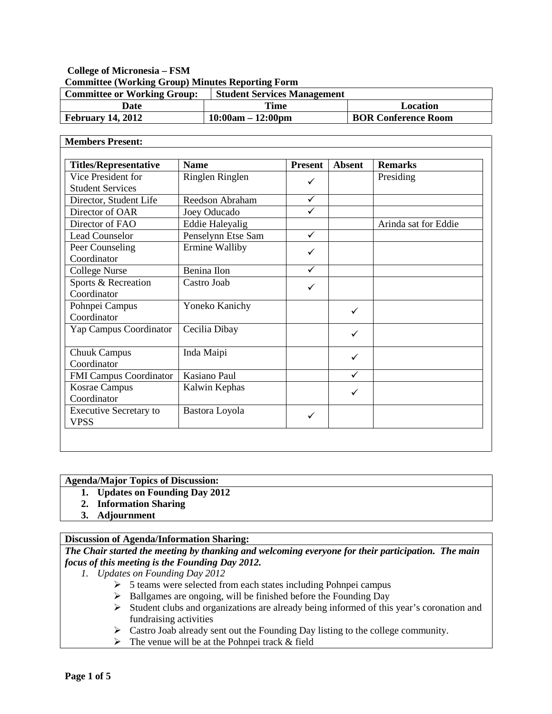## **College of Micronesia – FSM Committee (Working Group) Minutes Reporting Form**

| <b>Committee or Working Group:</b> | <b>Student Services Management</b> |                            |
|------------------------------------|------------------------------------|----------------------------|
| Date                               | Time                               | Location                   |
| <b>February 14, 2012</b>           | $10:00am - 12:00pm$                | <b>BOR Conference Room</b> |

| <b>Titles/Representative</b>  | <b>Name</b>            | <b>Present</b> | <b>Absent</b> | <b>Remarks</b>       |
|-------------------------------|------------------------|----------------|---------------|----------------------|
| Vice President for            | Ringlen Ringlen        | ✓              |               | Presiding            |
| <b>Student Services</b>       |                        |                |               |                      |
| Director, Student Life        | Reedson Abraham        | $\checkmark$   |               |                      |
| Director of OAR               | Joey Oducado           | $\checkmark$   |               |                      |
| Director of FAO               | <b>Eddie Haleyalig</b> |                |               | Arinda sat for Eddie |
| <b>Lead Counselor</b>         | Penselynn Etse Sam     | $\checkmark$   |               |                      |
| Peer Counseling               | Ermine Walliby         | ✓              |               |                      |
| Coordinator                   |                        |                |               |                      |
| <b>College Nurse</b>          | Benina Ilon            | $\checkmark$   |               |                      |
| Sports & Recreation           | Castro Joab            | ✓              |               |                      |
| Coordinator                   |                        |                |               |                      |
| Pohnpei Campus                | Yoneko Kanichy         |                | ✓             |                      |
| Coordinator                   |                        |                |               |                      |
| Yap Campus Coordinator        | Cecilia Dibay          |                | ✓             |                      |
| <b>Chuuk Campus</b>           | Inda Maipi             |                | ✓             |                      |
| Coordinator                   |                        |                |               |                      |
| <b>FMI Campus Coordinator</b> | Kasiano Paul           |                | ✓             |                      |
| <b>Kosrae Campus</b>          | Kalwin Kephas          |                | ✓             |                      |
| Coordinator                   |                        |                |               |                      |
| <b>Executive Secretary to</b> | Bastora Loyola         | ✓              |               |                      |
| <b>VPSS</b>                   |                        |                |               |                      |

## **Agenda/Major Topics of Discussion:**

- **1. Updates on Founding Day 2012**
- **2. Information Sharing**
- **3. Adjournment**

## **Discussion of Agenda/Information Sharing:**

## *The Chair started the meeting by thanking and welcoming everyone for their participation. The main focus of this meeting is the Founding Day 2012.*

- *1. Updates on Founding Day 2012*
	- $5$  teams were selected from each states including Pohnpei campus
	- $\triangleright$  Ballgames are ongoing, will be finished before the Founding Day
	- $\triangleright$  Student clubs and organizations are already being informed of this year's coronation and fundraising activities
	- Castro Joab already sent out the Founding Day listing to the college community.
	- $\triangleright$  The venue will be at the Pohnpei track & field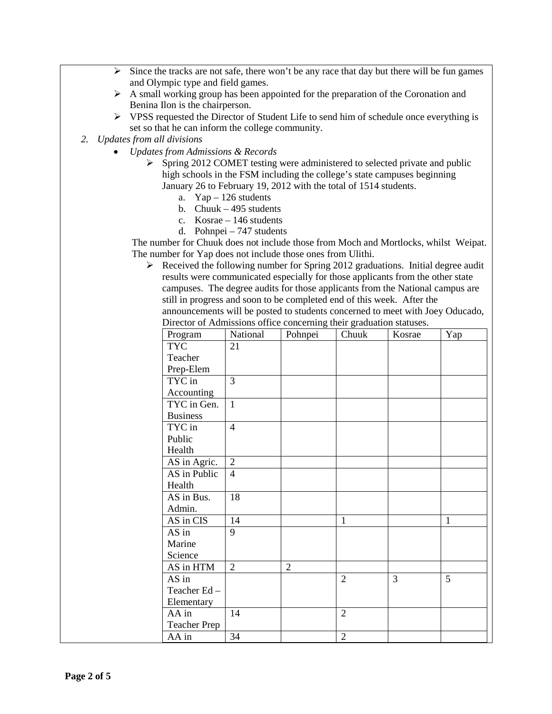- $\triangleright$  Since the tracks are not safe, there won't be any race that day but there will be fun games and Olympic type and field games.
- $\triangleright$  A small working group has been appointed for the preparation of the Coronation and Benina Ilon is the chairperson.
- $\triangleright$  VPSS requested the Director of Student Life to send him of schedule once everything is set so that he can inform the college community.
- *2. Updates from all divisions*
	- *Updates from Admissions & Records*
		- $\triangleright$  Spring 2012 COMET testing were administered to selected private and public high schools in the FSM including the college's state campuses beginning January 26 to February 19, 2012 with the total of 1514 students.
			- a. Yap 126 students
			- b. Chuuk 495 students
			- c. Kosrae 146 students
			- d. Pohnpei 747 students

 The number for Chuuk does not include those from Moch and Mortlocks, whilst Weipat. The number for Yap does not include those ones from Ulithi.

 $\triangleright$  Received the following number for Spring 2012 graduations. Initial degree audit results were communicated especially for those applicants from the other state campuses. The degree audits for those applicants from the National campus are still in progress and soon to be completed end of this week. After the announcements will be posted to students concerned to meet with Joey Oducado, Director of Admissions office concerning their graduation statuses.

| Program             | 11 Refunsatorio office concerning their graduation statuses.<br>National | Pohnpei        | Chuuk          | Kosrae | Yap          |
|---------------------|--------------------------------------------------------------------------|----------------|----------------|--------|--------------|
| <b>TYC</b>          | 21                                                                       |                |                |        |              |
| Teacher             |                                                                          |                |                |        |              |
| Prep-Elem           |                                                                          |                |                |        |              |
| TYC in              | $\overline{3}$                                                           |                |                |        |              |
| Accounting          |                                                                          |                |                |        |              |
| TYC in Gen.         | $\mathbf{1}$                                                             |                |                |        |              |
| <b>Business</b>     |                                                                          |                |                |        |              |
| TYC in              | $\overline{4}$                                                           |                |                |        |              |
| Public              |                                                                          |                |                |        |              |
| Health              |                                                                          |                |                |        |              |
| AS in Agric.        | $\overline{2}$                                                           |                |                |        |              |
| AS in Public        | $\overline{4}$                                                           |                |                |        |              |
| Health              |                                                                          |                |                |        |              |
| AS in Bus.          | 18                                                                       |                |                |        |              |
| Admin.              |                                                                          |                |                |        |              |
| AS in CIS           | 14                                                                       |                | $\mathbf{1}$   |        | $\mathbf{1}$ |
| AS in               | 9                                                                        |                |                |        |              |
| Marine              |                                                                          |                |                |        |              |
| Science             |                                                                          |                |                |        |              |
| AS in HTM           | $\overline{2}$                                                           | $\overline{2}$ |                |        |              |
| AS in               |                                                                          |                | $\overline{2}$ | 3      | 5            |
| Teacher Ed-         |                                                                          |                |                |        |              |
| Elementary          |                                                                          |                |                |        |              |
| AA in               | 14                                                                       |                | $\overline{2}$ |        |              |
| <b>Teacher Prep</b> |                                                                          |                |                |        |              |
| AA in               | 34                                                                       |                | $\overline{2}$ |        |              |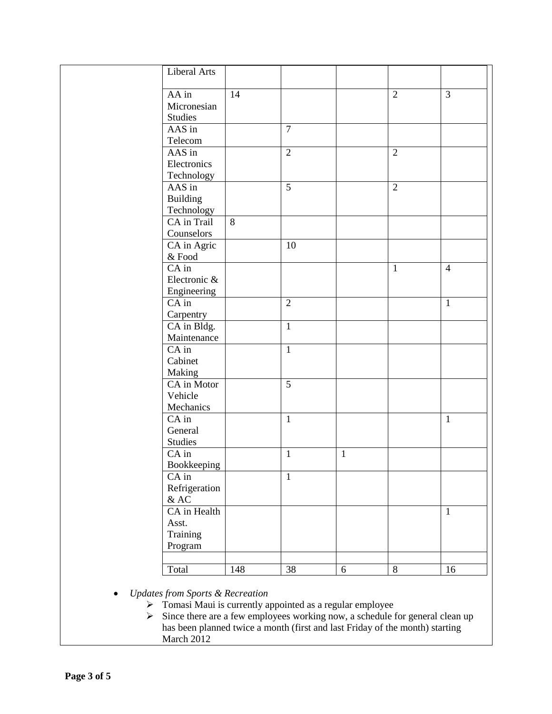| Liberal Arts             |       |                |              |                |                |
|--------------------------|-------|----------------|--------------|----------------|----------------|
| AA in<br>Micronesian     | 14    |                |              | $\overline{2}$ | 3              |
| <b>Studies</b><br>AAS in |       | $\overline{7}$ |              |                |                |
| Telecom                  |       |                |              |                |                |
| AAS in                   |       | $\overline{2}$ |              | $\overline{2}$ |                |
| Electronics              |       |                |              |                |                |
| Technology<br>AAS in     |       | $\overline{5}$ |              | $\overline{2}$ |                |
| Building                 |       |                |              |                |                |
| Technology               |       |                |              |                |                |
| CA in Trail              | $8\,$ |                |              |                |                |
| Counselors               |       |                |              |                |                |
| CA in Agric              |       | 10             |              |                |                |
| $\&$ Food                |       |                |              |                |                |
| $CA$ in                  |       |                |              | $\mathbf{1}$   | $\overline{4}$ |
| Electronic &             |       |                |              |                |                |
| Engineering              |       |                |              |                |                |
| $CA$ in                  |       | $\overline{2}$ |              |                | $\mathbf{1}$   |
| Carpentry                |       |                |              |                |                |
| CA in Bldg.              |       | $\mathbf{1}$   |              |                |                |
| Maintenance              |       |                |              |                |                |
| CA in                    |       | $\mathbf{1}$   |              |                |                |
| Cabinet                  |       |                |              |                |                |
| Making                   |       |                |              |                |                |
| CA in Motor              |       | 5              |              |                |                |
| Vehicle                  |       |                |              |                |                |
| Mechanics<br>CA in       |       | $\mathbf{1}$   |              |                | $\mathbf{1}$   |
| General                  |       |                |              |                |                |
| <b>Studies</b>           |       |                |              |                |                |
| CA in                    |       | $\mathbf{1}$   | $\mathbf{1}$ |                |                |
| Bookkeeping              |       |                |              |                |                |
| CA in                    |       | $\mathbf{1}$   |              |                |                |
| Refrigeration            |       |                |              |                |                |
| $&$ AC                   |       |                |              |                |                |
| CA in Health             |       |                |              |                | $\mathbf{1}$   |
| Asst.                    |       |                |              |                |                |
| Training                 |       |                |              |                |                |
| Program                  |       |                |              |                |                |
|                          |       |                |              |                |                |
| Total                    | 148   | 38             | $\sqrt{6}$   | 8              | 16             |
|                          |       |                |              |                |                |

- *Updates from Sports & Recreation*
	- $\triangleright$  Tomasi Maui is currently appointed as a regular employee
	- $\triangleright$  Since there are a few employees working now, a schedule for general clean up has been planned twice a month (first and last Friday of the month) starting March 2012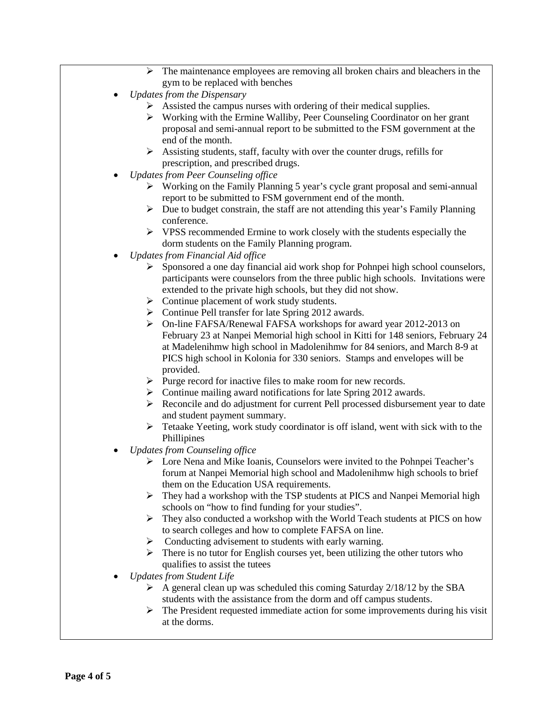- The maintenance employees are removing all broken chairs and bleachers in the gym to be replaced with benches
- *Updates from the Dispensary*
	- $\triangleright$  Assisted the campus nurses with ordering of their medical supplies.
	- $\triangleright$  Working with the Ermine Walliby, Peer Counseling Coordinator on her grant proposal and semi-annual report to be submitted to the FSM government at the end of the month.
	- $\triangleright$  Assisting students, staff, faculty with over the counter drugs, refills for prescription, and prescribed drugs.
- *Updates from Peer Counseling office*
	- $\triangleright$  Working on the Family Planning 5 year's cycle grant proposal and semi-annual report to be submitted to FSM government end of the month.
	- $\triangleright$  Due to budget constrain, the staff are not attending this year's Family Planning conference.
	- $\triangleright$  VPSS recommended Ermine to work closely with the students especially the dorm students on the Family Planning program.
- *Updates from Financial Aid office*
	- $\triangleright$  Sponsored a one day financial aid work shop for Pohnpei high school counselors, participants were counselors from the three public high schools. Invitations were extended to the private high schools, but they did not show.
	- $\triangleright$  Continue placement of work study students.
	- $\triangleright$  Continue Pell transfer for late Spring 2012 awards.
	- On-line FAFSA/Renewal FAFSA workshops for award year 2012-2013 on February 23 at Nanpei Memorial high school in Kitti for 148 seniors, February 24 at Madelenihmw high school in Madolenihmw for 84 seniors, and March 8-9 at PICS high school in Kolonia for 330 seniors. Stamps and envelopes will be provided.
	- $\triangleright$  Purge record for inactive files to make room for new records.
	- $\triangleright$  Continue mailing award notifications for late Spring 2012 awards.
	- $\triangleright$  Reconcile and do adjustment for current Pell processed disbursement year to date and student payment summary.
	- Fetaake Yeeting, work study coordinator is off island, went with sick with to the Phillipines
- *Updates from Counseling office*
	- Lore Nena and Mike Ioanis, Counselors were invited to the Pohnpei Teacher's forum at Nanpei Memorial high school and Madolenihmw high schools to brief them on the Education USA requirements.
	- $\triangleright$  They had a workshop with the TSP students at PICS and Nanpei Memorial high schools on "how to find funding for your studies".
	- $\triangleright$  They also conducted a workshop with the World Teach students at PICS on how to search colleges and how to complete FAFSA on line.
	- $\triangleright$  Conducting advisement to students with early warning.
	- $\triangleright$  There is no tutor for English courses yet, been utilizing the other tutors who qualifies to assist the tutees
- *Updates from Student Life* 
	- $\triangleright$  A general clean up was scheduled this coming Saturday 2/18/12 by the SBA students with the assistance from the dorm and off campus students.
	- $\triangleright$  The President requested immediate action for some improvements during his visit at the dorms.